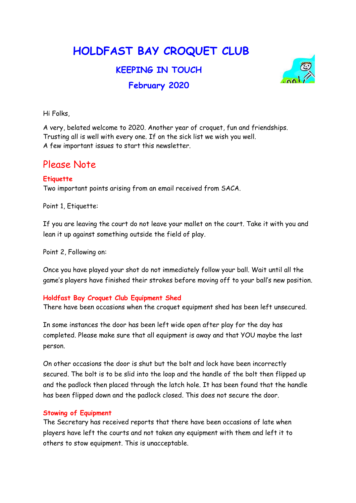# HOLDFAST BAY CROQUET CLUB

# KEEPING IN TOUCH February 2020



Hi Folks,

A very, belated welcome to 2020. Another year of croquet, fun and friendships. Trusting all is well with every one. If on the sick list we wish you well. A few important issues to start this newsletter.

# Please Note

### **Etiquette**

Two important points arising from an email received from SACA.

Point 1, Etiquette:

If you are leaving the court do not leave your mallet on the court. Take it with you and lean it up against something outside the field of play.

Point 2, Following on:

Once you have played your shot do not immediately follow your ball. Wait until all the game's players have finished their strokes before moving off to your ball's new position.

### Holdfast Bay Croquet Club Equipment Shed

There have been occasions when the croquet equipment shed has been left unsecured.

In some instances the door has been left wide open after play for the day has completed. Please make sure that all equipment is away and that YOU maybe the last person.

On other occasions the door is shut but the bolt and lock have been incorrectly secured. The bolt is to be slid into the loop and the handle of the bolt then flipped up and the padlock then placed through the latch hole. It has been found that the handle has been flipped down and the padlock closed. This does not secure the door.

### Stowing of Equipment

The Secretary has received reports that there have been occasions of late when players have left the courts and not taken any equipment with them and left it to others to stow equipment. This is unacceptable.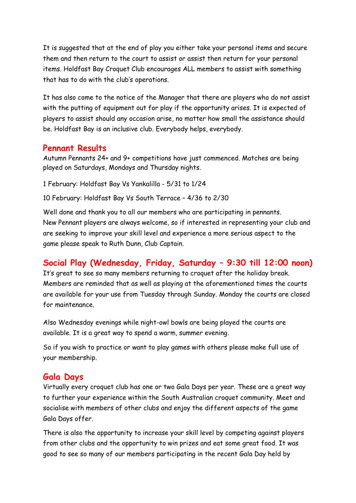It is suggested that at the end of play you either take your personal items and secure them and then return to the court to assist or assist then return for your personal items. Holdfast Bay Croquet Club encourages ALL members to assist with something that has to do with the club's operations.

It has also come to the notice of the Manager that there are players who do not assist with the putting of equipment out for play if the opportunity arises. It is expected of players to assist should any occasion arise, no matter how small the assistance should be. Holdfast Bay is an inclusive club. Everybody helps, everybody.

## Pennant Results

Autumn Pennants 24+ and 9+ competitions have just commenced. Matches are being played on Saturdays, Mondays and Thursday nights.

1 February: Holdfast Bay Vs Yankalilla - 5/31 to 1/24

10 February: Holdfast Bay Vs South Terrace – 4/36 to 2/30

Well done and thank you to all our members who are participating in pennants. New Pennant players are always welcome, so if interested in representing your club and are seeking to improve your skill level and experience a more serious aspect to the game please speak to Ruth Dunn, Club Captain.

# Social Play (Wednesday, Friday, Saturday – 9:30 till 12:00 noon)

It's great to see so many members returning to croquet after the holiday break. Members are reminded that as well as playing at the aforementioned times the courts are available for your use from Tuesday through Sunday. Monday the courts are closed for maintenance.

Also Wednesday evenings while night-owl bowls are being played the courts are available. It is a great way to spend a warm, summer evening.

So if you wish to practice or want to play games with others please make full use of your membership.

### Gala Days

Virtually every croquet club has one or two Gala Days per year. These are a great way to further your experience within the South Australian croquet community. Meet and socialise with members of other clubs and enjoy the different aspects of the game Gala Days offer.

There is also the opportunity to increase your skill level by competing against players from other clubs and the opportunity to win prizes and eat some great food. It was good to see so many of our members participating in the recent Gala Day held by